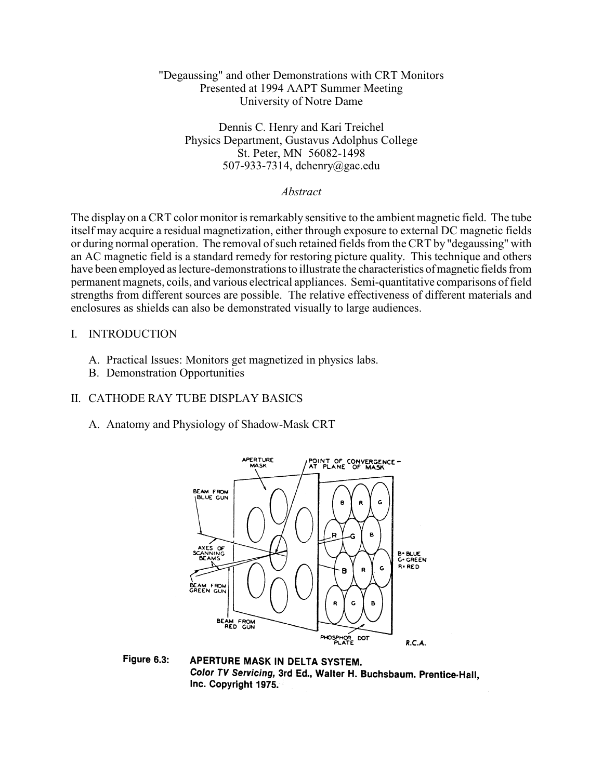## "Degaussing" and other Demonstrations with CRT Monitors Presented at 1994 AAPT Summer Meeting University of Notre Dame

Dennis C. Henry and Kari Treichel Physics Department, Gustavus Adolphus College St. Peter, MN 56082-1498 507-933-7314, dchenry@gac.edu

*Abstract*

The display on a CRT color monitor is remarkably sensitive to the ambient magnetic field. The tube itself may acquire a residual magnetization, either through exposure to external DC magnetic fields or during normal operation. The removal of such retained fields from the CRT by "degaussing" with an AC magnetic field is a standard remedy for restoring picture quality. This technique and others have been employed as lecture-demonstrations to illustrate the characteristics of magnetic fields from permanent magnets, coils, and various electrical appliances. Semi-quantitative comparisons of field strengths from different sources are possible. The relative effectiveness of different materials and enclosures as shields can also be demonstrated visually to large audiences.

#### I. INTRODUCTION

- A. Practical Issues: Monitors get magnetized in physics labs.
- B. Demonstration Opportunities

# II. CATHODE RAY TUBE DISPLAY BASICS

A. Anatomy and Physiology of Shadow-Mask CRT



Figure 6.3: APERTURE MASK IN DELTA SYSTEM. Color TV Servicing, 3rd Ed., Walter H. Buchsbaum. Prentice Hall, Inc. Copyright 1975.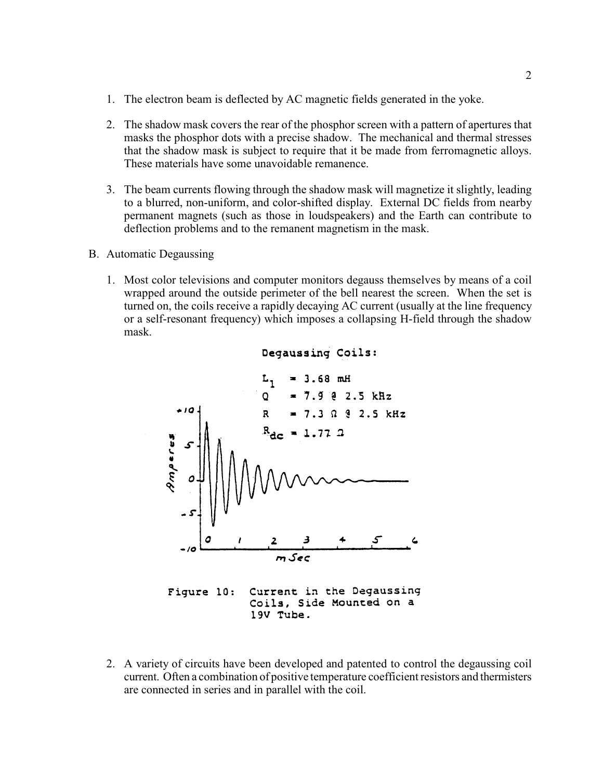- 1. The electron beam is deflected by AC magnetic fields generated in the yoke.
- 2. The shadow mask covers the rear of the phosphor screen with a pattern of apertures that masks the phosphor dots with a precise shadow. The mechanical and thermal stresses that the shadow mask is subject to require that it be made from ferromagnetic alloys. These materials have some unavoidable remanence.
- 3. The beam currents flowing through the shadow mask will magnetize it slightly, leading to a blurred, non-uniform, and color-shifted display. External DC fields from nearby permanent magnets (such as those in loudspeakers) and the Earth can contribute to deflection problems and to the remanent magnetism in the mask.
- B. Automatic Degaussing
	- 1. Most color televisions and computer monitors degauss themselves by means of a coil wrapped around the outside perimeter of the bell nearest the screen. When the set is turned on, the coils receive a rapidly decaying AC current (usually at the line frequency or a self-resonant frequency) which imposes a collapsing H-field through the shadow mask.



2. A variety of circuits have been developed and patented to control the degaussing coil current. Often a combination of positive temperature coefficient resistors and thermisters are connected in series and in parallel with the coil.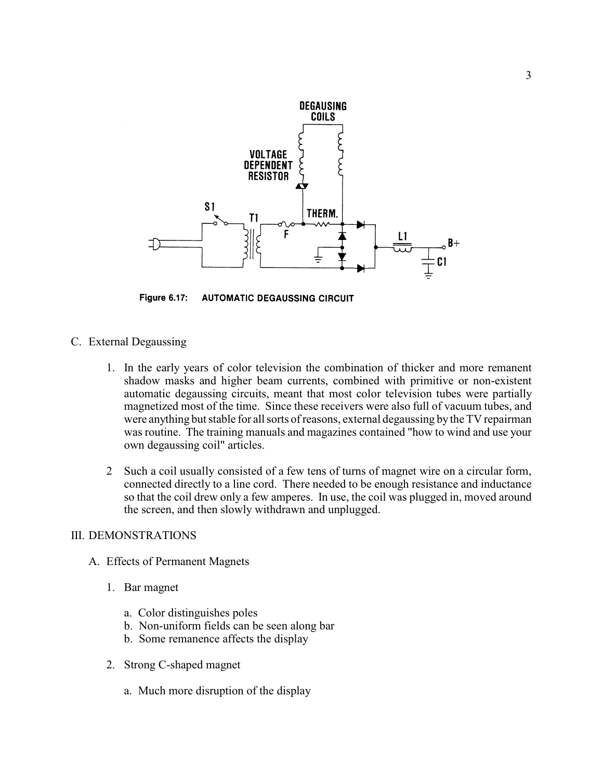

**Figure 6.17: AUTOMATIC DEGAUSSING CIRCUIT** 

- C. External Degaussing
	- 1. In the early years of color television the combination of thicker and more remanent shadow masks and higher beam currents, combined with primitive or non-existent automatic degaussing circuits, meant that most color television tubes were partially magnetized most of the time. Since these receivers were also full of vacuum tubes, and were anything but stable for all sorts of reasons, external degaussing by the TV repairman was routine. The training manuals and magazines contained "how to wind and use your own degaussing coil" articles.
	- 2 Such a coil usually consisted of a few tens of turns of magnet wire on a circular form, connected directly to a line cord. There needed to be enough resistance and inductance so that the coil drew only a few amperes. In use, the coil was plugged in, moved around the screen, and then slowly withdrawn and unplugged.

## III. DEMONSTRATIONS

- A. Effects of Permanent Magnets
	- 1. Bar magnet
		- a. Color distinguishes poles
		- b. Non-uniform fields can be seen along bar
		- b. Some remanence affects the display
	- 2. Strong C-shaped magnet
		- a. Much more disruption of the display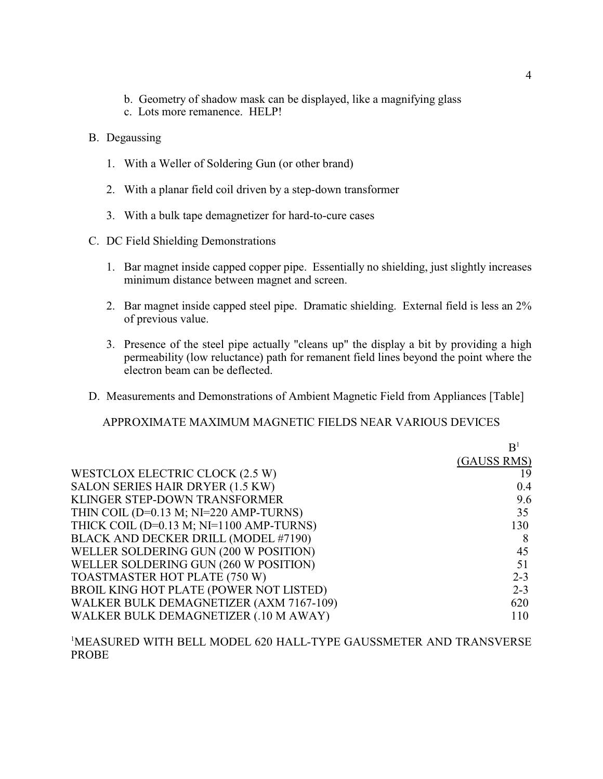- b. Geometry of shadow mask can be displayed, like a magnifying glass
- c. Lots more remanence. HELP!
- B. Degaussing
	- 1. With a Weller of Soldering Gun (or other brand)
	- 2. With a planar field coil driven by a step-down transformer
	- 3. With a bulk tape demagnetizer for hard-to-cure cases
- C. DC Field Shielding Demonstrations
	- 1. Bar magnet inside capped copper pipe. Essentially no shielding, just slightly increases minimum distance between magnet and screen.
	- 2. Bar magnet inside capped steel pipe. Dramatic shielding. External field is less an 2% of previous value.
	- 3. Presence of the steel pipe actually "cleans up" the display a bit by providing a high permeability (low reluctance) path for remanent field lines beyond the point where the electron beam can be deflected.
- D. Measurements and Demonstrations of Ambient Magnetic Field from Appliances [Table]

APPROXIMATE MAXIMUM MAGNETIC FIELDS NEAR VARIOUS DEVICES

|                                             | B <sup>1</sup> |
|---------------------------------------------|----------------|
|                                             | (GAUSS RMS)    |
| WESTCLOX ELECTRIC CLOCK (2.5 W)             | 19             |
| SALON SERIES HAIR DRYER (1.5 KW)            | 0.4            |
| KLINGER STEP-DOWN TRANSFORMER               | 9.6            |
| THIN COIL ( $D=0.13$ M; $NI=220$ AMP-TURNS) | 35             |
| THICK COIL (D=0.13 M; NI=1100 AMP-TURNS)    | 130            |
| BLACK AND DECKER DRILL (MODEL #7190)        |                |
| WELLER SOLDERING GUN (200 W POSITION)       | 45             |
| WELLER SOLDERING GUN (260 W POSITION)       | 51             |
| TOASTMASTER HOT PLATE (750 W)               | $2 - 3$        |
| BROIL KING HOT PLATE (POWER NOT LISTED)     | $2 - 3$        |
| WALKER BULK DEMAGNETIZER (AXM 7167-109)     | 620            |
| WALKER BULK DEMAGNETIZER (.10 M AWAY)       | 110            |

MEASURED WITH BELL MODEL 620 HALL-TYPE GAUSSMETER AND TRANSVERSE 1 PROBE